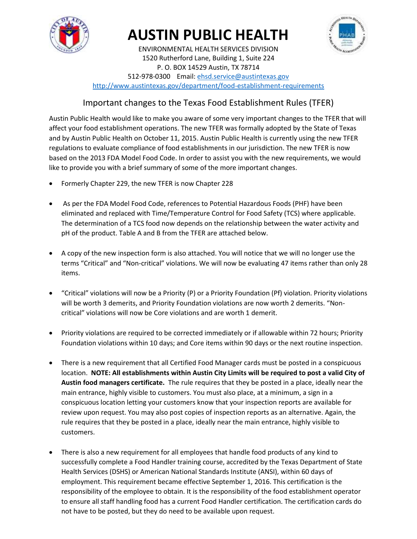

# **AUSTIN PUBLIC HEALTH**



ENVIRONMENTAL HEALTH SERVICES DIVISION 1520 Rutherford Lane, Building 1, Suite 224 P. O. BOX 14529 Austin, TX 78714 512-978-0300 Email[: ehsd.service@austintexas.gov](mailto:ehsd.service@austintexas.gov) <http://www.austintexas.gov/department/food-establishment-requirements>

## Important changes to the Texas Food Establishment Rules (TFER)

Austin Public Health would like to make you aware of some very important changes to the TFER that will affect your food establishment operations. The new TFER was formally adopted by the State of Texas and by Austin Public Health on October 11, 2015. Austin Public Health is currently using the new TFER regulations to evaluate compliance of food establishments in our jurisdiction. The new TFER is now based on the 2013 FDA Model Food Code. In order to assist you with the new requirements, we would like to provide you with a brief summary of some of the more important changes.

- Formerly Chapter 229, the new TFER is now Chapter 228
- As per the FDA Model Food Code, references to Potential Hazardous Foods (PHF) have been eliminated and replaced with Time/Temperature Control for Food Safety (TCS) where applicable. The determination of a TCS food now depends on the relationship between the water activity and pH of the product. Table A and B from the TFER are attached below.
- A copy of the new inspection form is also attached. You will notice that we will no longer use the terms "Critical" and "Non-critical" violations. We will now be evaluating 47 items rather than only 28 items.
- "Critical" violations will now be a Priority (P) or a Priority Foundation (Pf) violation. Priority violations will be worth 3 demerits, and Priority Foundation violations are now worth 2 demerits. "Noncritical" violations will now be Core violations and are worth 1 demerit.
- Priority violations are required to be corrected immediately or if allowable within 72 hours; Priority Foundation violations within 10 days; and Core items within 90 days or the next routine inspection.
- There is a new requirement that all Certified Food Manager cards must be posted in a conspicuous location. **NOTE: All establishments within Austin City Limits will be required to post a valid City of Austin food managers certificate.** The rule requires that they be posted in a place, ideally near the main entrance, highly visible to customers. You must also place, at a minimum, a sign in a conspicuous location letting your customers know that your inspection reports are available for review upon request. You may also post copies of inspection reports as an alternative. Again, the rule requires that they be posted in a place, ideally near the main entrance, highly visible to customers.
- There is also a new requirement for all employees that handle food products of any kind to successfully complete a Food Handler training course, accredited by the Texas Department of State Health Services (DSHS) or American National Standards Institute (ANSI), within 60 days of employment. This requirement became effective September 1, 2016. This certification is the responsibility of the employee to obtain. It is the responsibility of the food establishment operator to ensure all staff handling food has a current Food Handler certification. The certification cards do not have to be posted, but they do need to be available upon request.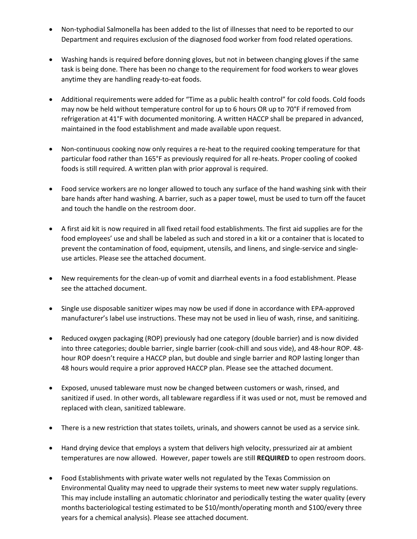- Non-typhodial Salmonella has been added to the list of illnesses that need to be reported to our Department and requires exclusion of the diagnosed food worker from food related operations.
- Washing hands is required before donning gloves, but not in between changing gloves if the same task is being done. There has been no change to the requirement for food workers to wear gloves anytime they are handling ready-to-eat foods.
- Additional requirements were added for "Time as a public health control" for cold foods. Cold foods may now be held without temperature control for up to 6 hours OR up to 70°F if removed from refrigeration at 41°F with documented monitoring. A written HACCP shall be prepared in advanced, maintained in the food establishment and made available upon request.
- Non-continuous cooking now only requires a re-heat to the required cooking temperature for that particular food rather than 165°F as previously required for all re-heats. Proper cooling of cooked foods is still required. A written plan with prior approval is required.
- Food service workers are no longer allowed to touch any surface of the hand washing sink with their bare hands after hand washing. A barrier, such as a paper towel, must be used to turn off the faucet and touch the handle on the restroom door.
- A first aid kit is now required in all fixed retail food establishments. The first aid supplies are for the food employees' use and shall be labeled as such and stored in a kit or a container that is located to prevent the contamination of food, equipment, utensils, and linens, and single-service and singleuse articles. Please see the attached document.
- New requirements for the clean-up of vomit and diarrheal events in a food establishment. Please see the attached document.
- Single use disposable sanitizer wipes may now be used if done in accordance with EPA-approved manufacturer's label use instructions. These may not be used in lieu of wash, rinse, and sanitizing.
- Reduced oxygen packaging (ROP) previously had one category (double barrier) and is now divided into three categories; double barrier, single barrier (cook-chill and sous vide), and 48-hour ROP. 48 hour ROP doesn't require a HACCP plan, but double and single barrier and ROP lasting longer than 48 hours would require a prior approved HACCP plan. Please see the attached document.
- Exposed, unused tableware must now be changed between customers or wash, rinsed, and sanitized if used. In other words, all tableware regardless if it was used or not, must be removed and replaced with clean, sanitized tableware.
- There is a new restriction that states toilets, urinals, and showers cannot be used as a service sink.
- Hand drying device that employs a system that delivers high velocity, pressurized air at ambient temperatures are now allowed. However, paper towels are still **REQUIRED** to open restroom doors.
- Food Establishments with private water wells not regulated by the Texas Commission on Environmental Quality may need to upgrade their systems to meet new water supply regulations. This may include installing an automatic chlorinator and periodically testing the water quality (every months bacteriological testing estimated to be \$10/month/operating month and \$100/every three years for a chemical analysis). Please see attached document.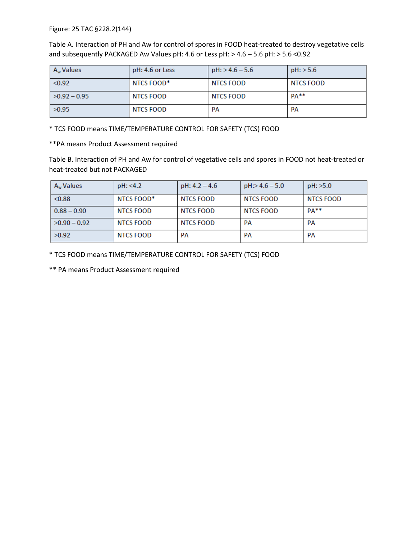Figure: 25 TAC §228.2(144)

Table A. Interaction of PH and Aw for control of spores in FOOD heat-treated to destroy vegetative cells and subsequently PACKAGED Aw Values pH: 4.6 or Less pH: > 4.6 – 5.6 pH: > 5.6 <0.92

| A <sub>w</sub> Values | pH: 4.6 or Less | $pH$ : > 4.6 – 5.6 | $pH$ : > 5.6 |
|-----------------------|-----------------|--------------------|--------------|
| < 0.92                | NTCS FOOD*      | NTCS FOOD          | NTCS FOOD    |
| $>0.92 - 0.95$        | NTCS FOOD       | NTCS FOOD          | $PA**$       |
| >0.95                 | NTCS FOOD       | PA                 | PА           |

\* TCS FOOD means TIME/TEMPERATURE CONTROL FOR SAFETY (TCS) FOOD

\*\*PA means Product Assessment required

Table B. Interaction of PH and Aw for control of vegetative cells and spores in FOOD not heat-treated or heat-treated but not PACKAGED

| A <sub>w</sub> Values | pH: < 4.2        | $pH: 4.2 - 4.6$  | $pH > 4.6 - 5.0$ | pH: >5.0  |
|-----------------------|------------------|------------------|------------------|-----------|
| < 0.88                | NTCS FOOD*       | <b>NTCS FOOD</b> | NTCS FOOD        | NTCS FOOD |
| $0.88 - 0.90$         | NTCS FOOD        | NTCS FOOD        | NTCS FOOD        | $PA**$    |
| $>0.90 - 0.92$        | <b>NTCS FOOD</b> | <b>NTCS FOOD</b> | PА               | PA        |
| >0.92                 | <b>NTCS FOOD</b> | PА               | PA               | PА        |

\* TCS FOOD means TIME/TEMPERATURE CONTROL FOR SAFETY (TCS) FOOD

\*\* PA means Product Assessment required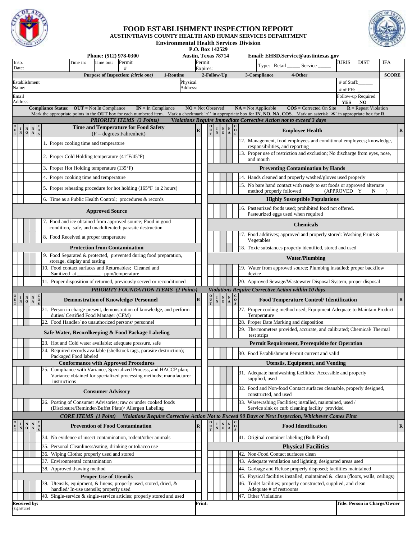

#### **FOOD ESTABLISHMENT INSPECTION REPORT**

**AUSTIN/TRAVIS COUNTY HEALTH AND HUMAN SERVICES DEPARTMENT Environmental Health Services Division**

**P.O. Box 142529**<br>**Austin. Texas 78714** 

|                     |                                                                                                                                              |                                                                                                                                     |              | Phone: (512) 978-0300                                                                                                                                                                                                                     | <b>Austin, Texas 78714</b> |                    |                                                                                                             |                                 |                                                   |                                                                   | Email: EHSD.Service@austintexas.gov                                                                           |                                  |               |
|---------------------|----------------------------------------------------------------------------------------------------------------------------------------------|-------------------------------------------------------------------------------------------------------------------------------------|--------------|-------------------------------------------------------------------------------------------------------------------------------------------------------------------------------------------------------------------------------------------|----------------------------|--------------------|-------------------------------------------------------------------------------------------------------------|---------------------------------|---------------------------------------------------|-------------------------------------------------------------------|---------------------------------------------------------------------------------------------------------------|----------------------------------|---------------|
| Insp.<br>Date:      |                                                                                                                                              |                                                                                                                                     |              | Time in:<br>Time out:<br>Permit<br>#                                                                                                                                                                                                      |                            | Permit<br>Expires: |                                                                                                             |                                 |                                                   |                                                                   | Type: Retail _______ Service                                                                                  | <b>JURIS</b><br><b>DIST</b>      | <b>IFA</b>    |
|                     |                                                                                                                                              |                                                                                                                                     |              | Purpose of Inspection: (circle one)<br>1-Routine                                                                                                                                                                                          |                            |                    | 2-Follow-Up                                                                                                 |                                 |                                                   |                                                                   | 3-Compliance<br>4-Other                                                                                       |                                  | <b>SCORE</b>  |
| Establishment       |                                                                                                                                              |                                                                                                                                     |              |                                                                                                                                                                                                                                           | Physical                   |                    |                                                                                                             |                                 |                                                   |                                                                   |                                                                                                               | # of Staff:                      |               |
| Name:               |                                                                                                                                              |                                                                                                                                     |              |                                                                                                                                                                                                                                           | Address:                   |                    |                                                                                                             |                                 |                                                   |                                                                   |                                                                                                               | $#$ of FH:<br>Follow-up Required |               |
| Email<br>Address:   |                                                                                                                                              |                                                                                                                                     |              |                                                                                                                                                                                                                                           |                            |                    |                                                                                                             |                                 |                                                   |                                                                   |                                                                                                               | <b>YES</b><br><b>NO</b>          |               |
|                     |                                                                                                                                              |                                                                                                                                     |              | <b>Compliance Status:</b> $OUT = Not In Compliance$<br>$IN = In$ Compliance                                                                                                                                                               | $NO = Not Observed$        |                    |                                                                                                             |                                 |                                                   |                                                                   | $NA = Not Applicable$<br>$\cos$ = Corrected On Site                                                           | $R$ = Repeat Violation           |               |
|                     |                                                                                                                                              |                                                                                                                                     |              | Mark the appropriate points in the OUT box for each numbered item. Mark a checkmark ' $\checkmark$ ' in appropriate box for IN, NO, NA, COS. Mark an asterisk ' $\hat{*}$ ' in appropriate box for R.<br><b>PRIORITY ITEMS</b> (3 Points) |                            |                    |                                                                                                             |                                 |                                                   |                                                                   | Violations Require Immediate Corrective Action not to exceed 3 days                                           |                                  |               |
|                     | $\begin{array}{c c c} \textbf{I} & \textbf{N} & \textbf{N} & \textbf{O} \\ \textbf{N} & \textbf{O} & \textbf{A} & \textbf{O} \\ \end{array}$ |                                                                                                                                     |              | <b>Time and Temperature for Food Safety</b>                                                                                                                                                                                               | $\mathbf R$                |                    | $\begin{array}{c c c} O & I & N & C \\ \hline U & N & O & A & O \\ \hline T & N & O & A & S \\ \end{array}$ |                                 |                                                   |                                                                   | <b>Employee Health</b>                                                                                        |                                  | $\mathbf R$   |
|                     |                                                                                                                                              |                                                                                                                                     |              | $(F = degrees Fahrenheit)$<br>1. Proper cooling time and temperature                                                                                                                                                                      |                            |                    |                                                                                                             |                                 |                                                   |                                                                   | 12. Management, food employees and conditional employees; knowledge,                                          |                                  |               |
|                     |                                                                                                                                              |                                                                                                                                     |              | 2. Proper Cold Holding temperature $(41^{\circ}F/45^{\circ}F)$                                                                                                                                                                            |                            |                    |                                                                                                             |                                 |                                                   |                                                                   | responsibilities, and reporting<br>13. Proper use of restriction and exclusion; No discharge from eyes, nose, |                                  |               |
|                     |                                                                                                                                              |                                                                                                                                     |              | 3. Proper Hot Holding temperature (135°F)                                                                                                                                                                                                 |                            |                    |                                                                                                             |                                 |                                                   |                                                                   | and mouth<br><b>Preventing Contamination by Hands</b>                                                         |                                  |               |
|                     |                                                                                                                                              |                                                                                                                                     |              | 4. Proper cooking time and temperature                                                                                                                                                                                                    |                            |                    |                                                                                                             |                                 |                                                   |                                                                   | 14. Hands cleaned and properly washed/gloves used properly                                                    |                                  |               |
|                     |                                                                                                                                              |                                                                                                                                     |              | 5. Proper reheating procedure for hot holding $(165^{\circ}F \text{ in } 2 \text{ hours})$                                                                                                                                                |                            |                    |                                                                                                             |                                 |                                                   |                                                                   | 15. No bare hand contact with ready to eat foods or approved alternate<br>method properly followed            | (APPROVED Y                      |               |
|                     |                                                                                                                                              |                                                                                                                                     |              | 6. Time as a Public Health Control; procedures & records                                                                                                                                                                                  |                            |                    |                                                                                                             |                                 |                                                   |                                                                   | <b>Highly Susceptible Populations</b>                                                                         |                                  | $N_{\_\_\_\}$ |
|                     |                                                                                                                                              |                                                                                                                                     |              | <b>Approved Source</b>                                                                                                                                                                                                                    |                            |                    |                                                                                                             |                                 |                                                   |                                                                   | 16. Pasteurized foods used; prohibited food not offered.<br>Pasteurized eggs used when required               |                                  |               |
|                     |                                                                                                                                              |                                                                                                                                     |              | 7. Food and ice obtained from approved source; Food in good<br>condition, safe, and unadulterated: parasite destruction                                                                                                                   |                            |                    |                                                                                                             |                                 |                                                   |                                                                   | <b>Chemicals</b>                                                                                              |                                  |               |
|                     |                                                                                                                                              |                                                                                                                                     |              | 8. Food Received at proper temperature                                                                                                                                                                                                    |                            |                    |                                                                                                             |                                 |                                                   |                                                                   | 17. Food additives; approved and properly stored: Washing Fruits &<br>Vegetables                              |                                  |               |
|                     |                                                                                                                                              |                                                                                                                                     |              | <b>Protection from Contamination</b>                                                                                                                                                                                                      |                            |                    |                                                                                                             |                                 |                                                   |                                                                   | 18. Toxic substances properly identified, stored and used                                                     |                                  |               |
|                     |                                                                                                                                              |                                                                                                                                     |              | Food Separated & protected, prevented during food preparation,<br>storage, display and tasting                                                                                                                                            |                            |                    |                                                                                                             |                                 |                                                   |                                                                   | <b>Water/Plumbing</b>                                                                                         |                                  |               |
|                     |                                                                                                                                              |                                                                                                                                     |              | 0. Food contact surfaces and Returnables; Cleaned and<br>Sanitized at<br>ppm/temperature                                                                                                                                                  |                            |                    |                                                                                                             |                                 |                                                   |                                                                   | 19. Water from approved source; Plumbing installed; proper backflow<br>device                                 |                                  |               |
|                     |                                                                                                                                              |                                                                                                                                     |              | 11. Proper disposition of returned, previously served or reconditioned                                                                                                                                                                    |                            |                    |                                                                                                             |                                 |                                                   |                                                                   | 20. Approved Sewage/Wastewater Disposal System, proper disposal                                               |                                  |               |
|                     |                                                                                                                                              |                                                                                                                                     |              | <b>PRIORITY FOUNDATION ITEMS (2 Points)</b>                                                                                                                                                                                               |                            |                    |                                                                                                             |                                 |                                                   |                                                                   | Violations Require Corrective Action within 10 days                                                           |                                  |               |
| $\frac{I}{N}$       | $\mathop{\rm {}N}\limits_{\mho}$                                                                                                             |                                                                                                                                     | $\mathbf{o}$ | <b>Demonstration of Knowledge/ Personnel</b>                                                                                                                                                                                              | $\mathbf R$                |                    | $\begin{array}{c} {\bf 0} \\ {\bf U} \\ {\bf T} \end{array}$                                                | $\frac{I}{N}$                   | $\begin{array}{c c}\nN & N \\ O & A\n\end{array}$ | $_{\rm o}^{\rm c}$                                                | <b>Food Temperature Control/Identification</b>                                                                |                                  | $\mathbf R$   |
|                     |                                                                                                                                              |                                                                                                                                     |              | 21. Person in charge present, demonstration of knowledge, and perform<br>duties/ Certified Food Manager (CFM)                                                                                                                             |                            |                    |                                                                                                             |                                 |                                                   |                                                                   | 27. Proper cooling method used; Equipment Adequate to Maintain Product<br>Temperature                         |                                  |               |
|                     |                                                                                                                                              |                                                                                                                                     |              | 22. Food Handler/ no unauthorized persons/ personnel                                                                                                                                                                                      |                            |                    |                                                                                                             |                                 |                                                   |                                                                   | 28. Proper Date Marking and disposition                                                                       |                                  |               |
|                     |                                                                                                                                              |                                                                                                                                     |              | Safe Water, Recordkeeping & Food Package Labeling                                                                                                                                                                                         |                            |                    |                                                                                                             |                                 |                                                   |                                                                   | 29. Thermometers provided, accurate, and calibrated; Chemical/ Thermal<br>test strips                         |                                  |               |
|                     |                                                                                                                                              |                                                                                                                                     |              | 23. Hot and Cold water available; adequate pressure, safe                                                                                                                                                                                 |                            |                    |                                                                                                             |                                 |                                                   |                                                                   | <b>Permit Requirement, Prerequisite for Operation</b>                                                         |                                  |               |
|                     |                                                                                                                                              |                                                                                                                                     |              | 24. Required records available (shellstock tags, parasite destruction);<br>Packaged Food labeled                                                                                                                                          |                            |                    |                                                                                                             |                                 |                                                   |                                                                   | 30. Food Establishment Permit current and valid                                                               |                                  |               |
|                     |                                                                                                                                              |                                                                                                                                     |              | <b>Conformance with Approved Procedures</b><br>25. Compliance with Variance, Specialized Process, and HACCP plan;                                                                                                                         |                            |                    |                                                                                                             |                                 |                                                   |                                                                   | <b>Utensils, Equipment, and Vending</b>                                                                       |                                  |               |
|                     |                                                                                                                                              |                                                                                                                                     |              | Variance obtained for specialized processing methods; manufacturer<br>instructions                                                                                                                                                        |                            |                    |                                                                                                             |                                 |                                                   |                                                                   | 31. Adequate handwashing facilities: Accessible and properly<br>supplied, used                                |                                  |               |
|                     |                                                                                                                                              |                                                                                                                                     |              | <b>Consumer Advisory</b>                                                                                                                                                                                                                  |                            |                    |                                                                                                             |                                 |                                                   |                                                                   | 32. Food and Non-food Contact surfaces cleanable, properly designed,<br>constructed, and used                 |                                  |               |
|                     |                                                                                                                                              |                                                                                                                                     |              | 26. Posting of Consumer Advisories; raw or under cooked foods<br>(Disclosure/Reminder/Buffet Plate)/ Allergen Labeling                                                                                                                    |                            |                    |                                                                                                             |                                 |                                                   |                                                                   | 33. Warewashing Facilities; installed, maintained, used /<br>Service sink or curb cleaning facility provided  |                                  |               |
|                     |                                                                                                                                              | <b>CORE ITEMS</b> (1 Point)<br>Violations Require Corrective Action Not to Exceed 90 Days or Next Inspection, Whichever Comes First |              |                                                                                                                                                                                                                                           |                            |                    |                                                                                                             |                                 |                                                   |                                                                   |                                                                                                               |                                  |               |
|                     |                                                                                                                                              |                                                                                                                                     |              |                                                                                                                                                                                                                                           |                            |                    |                                                                                                             |                                 |                                                   | $\begin{array}{c c} N & N & C \\ \hline O & A & O \\ \end{array}$ | <b>Food Identification</b>                                                                                    |                                  |               |
| $\frac{1}{N}$       |                                                                                                                                              |                                                                                                                                     |              | <b>Prevention of Food Contamination</b>                                                                                                                                                                                                   | $\bf R$                    |                    |                                                                                                             |                                 |                                                   |                                                                   |                                                                                                               |                                  |               |
|                     |                                                                                                                                              | $\begin{bmatrix} N & N \\ O & A \end{bmatrix}$                                                                                      |              | 34. No evidence of insect contamination, rodent/other animals                                                                                                                                                                             |                            |                    | $\begin{array}{c} {\bf O} \\ {\bf U} \\ {\bf T} \end{array}$                                                | $\frac{\mathbf{I}}{\mathbf{N}}$ |                                                   |                                                                   | 41. Original container labeling (Bulk Food)                                                                   |                                  |               |
|                     |                                                                                                                                              |                                                                                                                                     |              | 35. Personal Cleanliness/eating, drinking or tobacco use                                                                                                                                                                                  |                            |                    |                                                                                                             |                                 |                                                   |                                                                   | <b>Physical Facilities</b>                                                                                    |                                  |               |
|                     |                                                                                                                                              |                                                                                                                                     |              | 36. Wiping Cloths; properly used and stored                                                                                                                                                                                               |                            |                    |                                                                                                             |                                 |                                                   |                                                                   | 42. Non-Food Contact surfaces clean                                                                           |                                  |               |
|                     |                                                                                                                                              |                                                                                                                                     |              | 37. Environmental contamination                                                                                                                                                                                                           |                            |                    |                                                                                                             |                                 |                                                   |                                                                   | 43. Adequate ventilation and lighting; designated areas used                                                  |                                  |               |
|                     |                                                                                                                                              |                                                                                                                                     |              | 38. Approved thawing method                                                                                                                                                                                                               |                            |                    |                                                                                                             |                                 |                                                   |                                                                   | 44. Garbage and Refuse properly disposed; facilities maintained                                               |                                  |               |
|                     |                                                                                                                                              |                                                                                                                                     |              | <b>Proper Use of Utensils</b>                                                                                                                                                                                                             |                            |                    |                                                                                                             |                                 |                                                   |                                                                   | 45. Physical facilities installed, maintained $\&$ clean (floors, walls, ceilings)                            |                                  |               |
|                     |                                                                                                                                              |                                                                                                                                     |              | 39. Utensils, equipment, & linens; properly used, stored, dried, &<br>handled/In-use utensils; properly used                                                                                                                              |                            |                    |                                                                                                             |                                 |                                                   |                                                                   | 46. Toilet facilities; properly constructed, supplied, and clean<br>Adequate # of restrooms                   |                                  |               |
|                     |                                                                                                                                              |                                                                                                                                     |              | 40. Single-service & single-service articles; properly stored and used                                                                                                                                                                    |                            |                    |                                                                                                             |                                 |                                                   |                                                                   | 47. Other Violations                                                                                          |                                  | $\mathbf R$   |
| <b>Received by:</b> | signature)                                                                                                                                   |                                                                                                                                     |              |                                                                                                                                                                                                                                           |                            | Print:             |                                                                                                             |                                 |                                                   |                                                                   |                                                                                                               | Title: Person in Charge/Owner    |               |

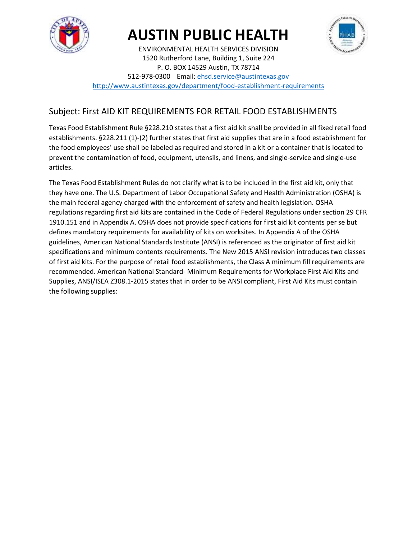

# **AUSTIN PUBLIC HEALTH**



ENVIRONMENTAL HEALTH SERVICES DIVISION 1520 Rutherford Lane, Building 1, Suite 224 P. O. BOX 14529 Austin, TX 78714 512-978-0300 Email[: ehsd.service@austintexas.gov](mailto:ehsd.service@austintexas.gov)

<http://www.austintexas.gov/department/food-establishment-requirements>

### Subject: First AID KIT REQUIREMENTS FOR RETAIL FOOD ESTABLISHMENTS

Texas Food Establishment Rule §228.210 states that a first aid kit shall be provided in all fixed retail food establishments. §228.211 (1)-(2) further states that first aid supplies that are in a food establishment for the food employees' use shall be labeled as required and stored in a kit or a container that is located to prevent the contamination of food, equipment, utensils, and linens, and single-service and single-use articles.

The Texas Food Establishment Rules do not clarify what is to be included in the first aid kit, only that they have one. The U.S. Department of Labor Occupational Safety and Health Administration (OSHA) is the main federal agency charged with the enforcement of safety and health legislation. OSHA regulations regarding first aid kits are contained in the Code of Federal Regulations under section 29 CFR 1910.151 and in Appendix A. OSHA does not provide specifications for first aid kit contents per se but defines mandatory requirements for availability of kits on worksites. In Appendix A of the OSHA guidelines, American National Standards Institute (ANSI) is referenced as the originator of first aid kit specifications and minimum contents requirements. The New 2015 ANSI revision introduces two classes of first aid kits. For the purpose of retail food establishments, the Class A minimum fill requirements are recommended. American National Standard- Minimum Requirements for Workplace First Aid Kits and Supplies, ANSI/ISEA Z308.1-2015 states that in order to be ANSI compliant, First Aid Kits must contain the following supplies: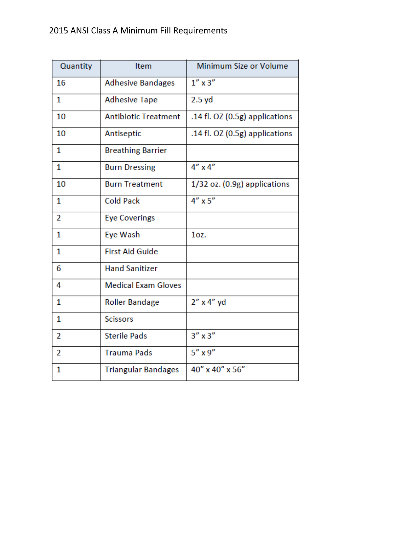## 2015 ANSI Class A Minimum Fill Requirements

| Quantity       | Item                        | Minimum Size or Volume         |
|----------------|-----------------------------|--------------------------------|
| 16             | <b>Adhesive Bandages</b>    | $1''$ x $3''$                  |
| 1              | <b>Adhesive Tape</b>        | 2.5 yd                         |
| 10             | <b>Antibiotic Treatment</b> | .14 fl. OZ (0.5g) applications |
| 10             | Antiseptic                  | .14 fl. OZ (0.5g) applications |
| 1              | <b>Breathing Barrier</b>    |                                |
| 1              | <b>Burn Dressing</b>        | $4''$ x $4''$                  |
| 10             | <b>Burn Treatment</b>       | 1/32 oz. (0.9g) applications   |
| 1              | <b>Cold Pack</b>            | $4'' \times 5''$               |
| 2              | <b>Eye Coverings</b>        |                                |
| 1              | Eye Wash                    | $1oz$ .                        |
| 1              | <b>First Aid Guide</b>      |                                |
| 6              | <b>Hand Sanitizer</b>       |                                |
| 4              | <b>Medical Exam Gloves</b>  |                                |
| 1              | <b>Roller Bandage</b>       | $2''$ x 4" yd                  |
| 1              | <b>Scissors</b>             |                                |
| $\overline{2}$ | <b>Sterile Pads</b>         | $3''$ x $3''$                  |
| $\overline{2}$ | <b>Trauma Pads</b>          | $5''$ x $9''$                  |
| 1              | <b>Triangular Bandages</b>  | 40" x 40" x 56"                |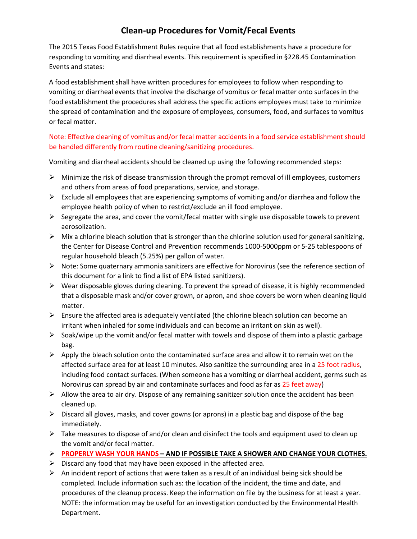### **Clean-up Procedures for Vomit/Fecal Events**

The 2015 Texas Food Establishment Rules require that all food establishments have a procedure for responding to vomiting and diarrheal events. This requirement is specified in §228.45 Contamination Events and states:

A food establishment shall have written procedures for employees to follow when responding to vomiting or diarrheal events that involve the discharge of vomitus or fecal matter onto surfaces in the food establishment the procedures shall address the specific actions employees must take to minimize the spread of contamination and the exposure of employees, consumers, food, and surfaces to vomitus or fecal matter.

#### Note: Effective cleaning of vomitus and/or fecal matter accidents in a food service establishment should be handled differently from routine cleaning/sanitizing procedures.

Vomiting and diarrheal accidents should be cleaned up using the following recommended steps:

- $\triangleright$  Minimize the risk of disease transmission through the prompt removal of ill employees, customers and others from areas of food preparations, service, and storage.
- $\triangleright$  Exclude all employees that are experiencing symptoms of vomiting and/or diarrhea and follow the employee health policy of when to restrict/exclude an ill food employee.
- $\triangleright$  Segregate the area, and cover the vomit/fecal matter with single use disposable towels to prevent aerosolization.
- $\triangleright$  Mix a chlorine bleach solution that is stronger than the chlorine solution used for general sanitizing, the Center for Disease Control and Prevention recommends 1000-5000ppm or 5-25 tablespoons of regular household bleach (5.25%) per gallon of water.
- $\triangleright$  Note: Some quaternary ammonia sanitizers are effective for Norovirus (see the reference section of this document for a link to find a list of EPA listed sanitizers).
- $\triangleright$  Wear disposable gloves during cleaning. To prevent the spread of disease, it is highly recommended that a disposable mask and/or cover grown, or apron, and shoe covers be worn when cleaning liquid matter.
- $\triangleright$  Ensure the affected area is adequately ventilated (the chlorine bleach solution can become an irritant when inhaled for some individuals and can become an irritant on skin as well).
- $\triangleright$  Soak/wipe up the vomit and/or fecal matter with towels and dispose of them into a plastic garbage bag.
- $\triangleright$  Apply the bleach solution onto the contaminated surface area and allow it to remain wet on the affected surface area for at least 10 minutes. Also sanitize the surrounding area in a 25 foot radius, including food contact surfaces. (When someone has a vomiting or diarrheal accident, germs such as Norovirus can spread by air and contaminate surfaces and food as far as 25 feet away)
- $\triangleright$  Allow the area to air dry. Dispose of any remaining sanitizer solution once the accident has been cleaned up.
- $\triangleright$  Discard all gloves, masks, and cover gowns (or aprons) in a plastic bag and dispose of the bag immediately.
- $\triangleright$  Take measures to dispose of and/or clean and disinfect the tools and equipment used to clean up the vomit and/or fecal matter.
- **PROPERLY WASH YOUR HANDS – AND IF POSSIBLE TAKE A SHOWER AND CHANGE YOUR CLOTHES.**
- $\triangleright$  Discard any food that may have been exposed in the affected area.
- $\triangleright$  An incident report of actions that were taken as a result of an individual being sick should be completed. Include information such as: the location of the incident, the time and date, and procedures of the cleanup process. Keep the information on file by the business for at least a year. NOTE: the information may be useful for an investigation conducted by the Environmental Health Department.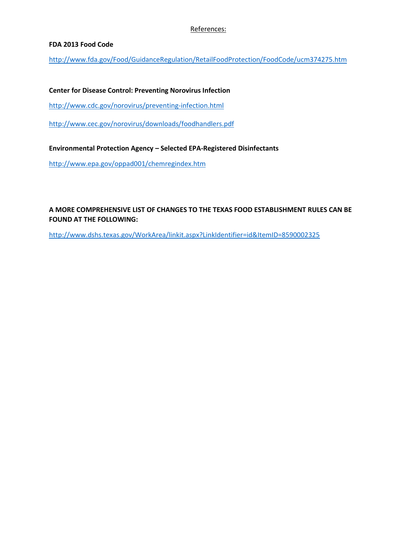#### References:

#### **FDA 2013 Food Code**

<http://www.fda.gov/Food/GuidanceRegulation/RetailFoodProtection/FoodCode/ucm374275.htm>

**Center for Disease Control: Preventing Norovirus Infection**

<http://www.cdc.gov/norovirus/preventing-infection.html>

<http://www.cec.gov/norovirus/downloads/foodhandlers.pdf>

**Environmental Protection Agency – Selected EPA-Registered Disinfectants**

<http://www.epa.gov/oppad001/chemregindex.htm>

#### **A MORE COMPREHENSIVE LIST OF CHANGES TO THE TEXAS FOOD ESTABLISHMENT RULES CAN BE FOUND AT THE FOLLOWING:**

<http://www.dshs.texas.gov/WorkArea/linkit.aspx?LinkIdentifier=id&ItemID=8590002325>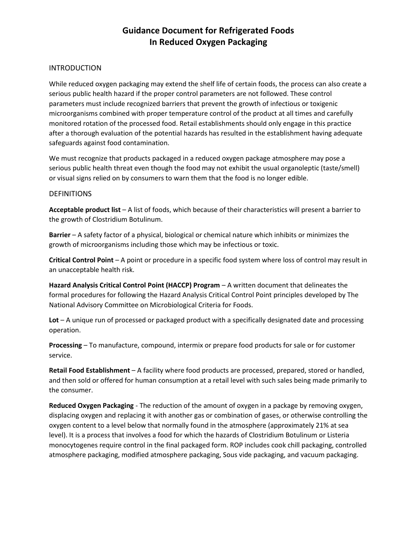### **Guidance Document for Refrigerated Foods In Reduced Oxygen Packaging**

#### **INTRODUCTION**

While reduced oxygen packaging may extend the shelf life of certain foods, the process can also create a serious public health hazard if the proper control parameters are not followed. These control parameters must include recognized barriers that prevent the growth of infectious or toxigenic microorganisms combined with proper temperature control of the product at all times and carefully monitored rotation of the processed food. Retail establishments should only engage in this practice after a thorough evaluation of the potential hazards has resulted in the establishment having adequate safeguards against food contamination.

We must recognize that products packaged in a reduced oxygen package atmosphere may pose a serious public health threat even though the food may not exhibit the usual organoleptic (taste/smell) or visual signs relied on by consumers to warn them that the food is no longer edible.

#### **DEFINITIONS**

**Acceptable product list** – A list of foods, which because of their characteristics will present a barrier to the growth of Clostridium Botulinum.

**Barrier** – A safety factor of a physical, biological or chemical nature which inhibits or minimizes the growth of microorganisms including those which may be infectious or toxic.

**Critical Control Point** – A point or procedure in a specific food system where loss of control may result in an unacceptable health risk.

**Hazard Analysis Critical Control Point (HACCP) Program** – A written document that delineates the formal procedures for following the Hazard Analysis Critical Control Point principles developed by The National Advisory Committee on Microbiological Criteria for Foods.

**Lot** – A unique run of processed or packaged product with a specifically designated date and processing operation.

**Processing** – To manufacture, compound, intermix or prepare food products for sale or for customer service.

**Retail Food Establishment** – A facility where food products are processed, prepared, stored or handled, and then sold or offered for human consumption at a retail level with such sales being made primarily to the consumer.

**Reduced Oxygen Packaging** - The reduction of the amount of oxygen in a package by removing oxygen, displacing oxygen and replacing it with another gas or combination of gases, or otherwise controlling the oxygen content to a level below that normally found in the atmosphere (approximately 21% at sea level). It is a process that involves a food for which the hazards of Clostridium Botulinum or Listeria monocytogenes require control in the final packaged form. ROP includes cook chill packaging, controlled atmosphere packaging, modified atmosphere packaging, Sous vide packaging, and vacuum packaging.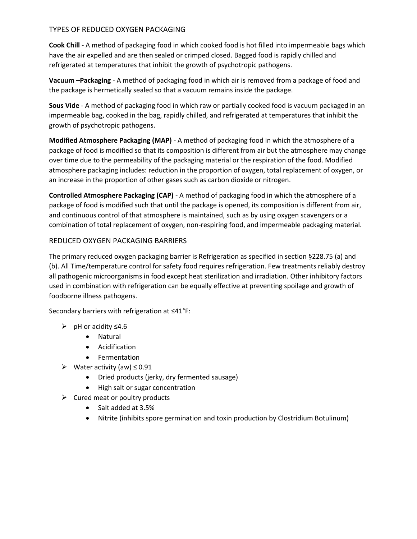#### TYPES OF REDUCED OXYGEN PACKAGING

**Cook Chill** - A method of packaging food in which cooked food is hot filled into impermeable bags which have the air expelled and are then sealed or crimped closed. Bagged food is rapidly chilled and refrigerated at temperatures that inhibit the growth of psychotropic pathogens.

**Vacuum –Packaging** - A method of packaging food in which air is removed from a package of food and the package is hermetically sealed so that a vacuum remains inside the package.

**Sous Vide** - A method of packaging food in which raw or partially cooked food is vacuum packaged in an impermeable bag, cooked in the bag, rapidly chilled, and refrigerated at temperatures that inhibit the growth of psychotropic pathogens.

**Modified Atmosphere Packaging (MAP)** - A method of packaging food in which the atmosphere of a package of food is modified so that its composition is different from air but the atmosphere may change over time due to the permeability of the packaging material or the respiration of the food. Modified atmosphere packaging includes: reduction in the proportion of oxygen, total replacement of oxygen, or an increase in the proportion of other gases such as carbon dioxide or nitrogen.

**Controlled Atmosphere Packaging (CAP)** - A method of packaging food in which the atmosphere of a package of food is modified such that until the package is opened, its composition is different from air, and continuous control of that atmosphere is maintained, such as by using oxygen scavengers or a combination of total replacement of oxygen, non-respiring food, and impermeable packaging material.

#### REDUCED OXYGEN PACKAGING BARRIERS

The primary reduced oxygen packaging barrier is Refrigeration as specified in section §228.75 (a) and (b). All Time/temperature control for safety food requires refrigeration. Few treatments reliably destroy all pathogenic microorganisms in food except heat sterilization and irradiation. Other inhibitory factors used in combination with refrigeration can be equally effective at preventing spoilage and growth of foodborne illness pathogens.

Secondary barriers with refrigeration at ≤41°F:

- pH or acidity ≤4.6
	- Natural
	- Acidification
	- Fermentation
- Water activity (aw) ≤ 0.91
	- Dried products (jerky, dry fermented sausage)
	- High salt or sugar concentration
- $\triangleright$  Cured meat or poultry products
	- Salt added at 3.5%
	- Nitrite (inhibits spore germination and toxin production by Clostridium Botulinum)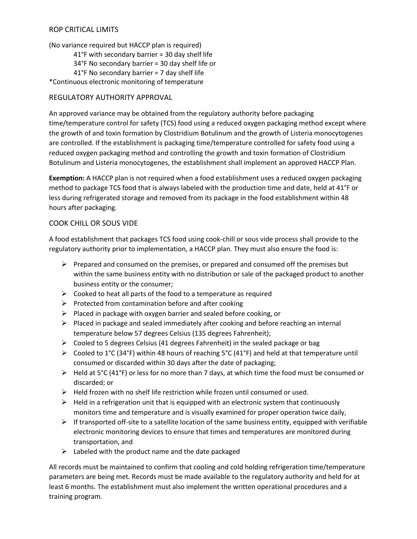#### ROP CRITICAL LIMITS

(No variance required but HACCP plan is required)

- 41°F with secondary barrier = 30 day shelf life
- 34°F No secondary barrier = 30 day shelf life or
- 41°F No secondary barrier = 7 day shelf life

\*Continuous electronic monitoring of temperature

#### REGULATORY AUTHORITY APPROVAL

An approved variance may be obtained from the regulatory authority before packaging time/temperature control for safety (TCS) food using a reduced oxygen packaging method except where the growth of and toxin formation by Clostridium Botulinum and the growth of Listeria monocytogenes are controlled. If the establishment is packaging time/temperature controlled for safety food using a reduced oxygen packaging method and controlling the growth and toxin formation of Clostridium Botulinum and Listeria monocytogenes, the establishment shall implement an approved HACCP Plan.

**Exemption:** A HACCP plan is not required when a food establishment uses a reduced oxygen packaging method to package TCS food that is always labeled with the production time and date, held at 41°F or less during refrigerated storage and removed from its package in the food establishment within 48 hours after packaging.

#### COOK CHILL OR SOUS VIDE

A food establishment that packages TCS food using cook-chill or sous vide process shall provide to the regulatory authority prior to implementation, a HACCP plan. They must also ensure the food is:

- $\triangleright$  Prepared and consumed on the premises, or prepared and consumed off the premises but within the same business entity with no distribution or sale of the packaged product to another business entity or the consumer;
- $\triangleright$  Cooked to heat all parts of the food to a temperature as required
- $\triangleright$  Protected from contamination before and after cooking
- $\triangleright$  Placed in package with oxygen barrier and sealed before cooking, or
- $\triangleright$  Placed in package and sealed immediately after cooking and before reaching an internal temperature below 57 degrees Celsius (135 degrees Fahrenheit);
- $\triangleright$  Cooled to 5 degrees Celsius (41 degrees Fahrenheit) in the sealed package or bag
- $\triangleright$  Cooled to 1°C (34°F) within 48 hours of reaching 5°C (41°F) and held at that temperature until consumed or discarded within 30 days after the date of packaging;
- $\triangleright$  Held at 5°C (41°F) or less for no more than 7 days, at which time the food must be consumed or discarded; or
- $\triangleright$  Held frozen with no shelf life restriction while frozen until consumed or used.
- $\triangleright$  Held in a refrigeration unit that is equipped with an electronic system that continuously monitors time and temperature and is visually examined for proper operation twice daily,
- $\triangleright$  If transported off-site to a satellite location of the same business entity, equipped with verifiable electronic monitoring devices to ensure that times and temperatures are monitored during transportation, and
- $\triangleright$  Labeled with the product name and the date packaged

All records must be maintained to confirm that cooling and cold holding refrigeration time/temperature parameters are being met. Records must be made available to the regulatory authority and held for at least 6 months. The establishment must also implement the written operational procedures and a training program.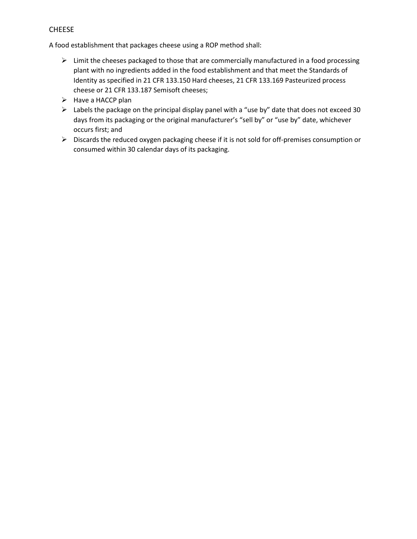#### CHEESE

A food establishment that packages cheese using a ROP method shall:

- $\triangleright$  Limit the cheeses packaged to those that are commercially manufactured in a food processing plant with no ingredients added in the food establishment and that meet the Standards of Identity as specified in 21 CFR 133.150 Hard cheeses, 21 CFR 133.169 Pasteurized process cheese or 21 CFR 133.187 Semisoft cheeses;
- $\triangleright$  Have a HACCP plan
- $\triangleright$  Labels the package on the principal display panel with a "use by" date that does not exceed 30 days from its packaging or the original manufacturer's "sell by" or "use by" date, whichever occurs first; and
- Discards the reduced oxygen packaging cheese if it is not sold for off-premises consumption or consumed within 30 calendar days of its packaging.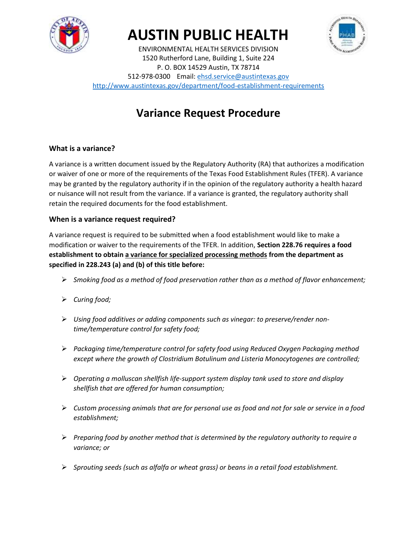

# **AUSTIN PUBLIC HEALTH**



ENVIRONMENTAL HEALTH SERVICES DIVISION 1520 Rutherford Lane, Building 1, Suite 224 P. O. BOX 14529 Austin, TX 78714 512-978-0300 Email[: ehsd.service@austintexas.gov](mailto:ehsd.service@austintexas.gov) <http://www.austintexas.gov/department/food-establishment-requirements>

## **Variance Request Procedure**

#### **What is a variance?**

A variance is a written document issued by the Regulatory Authority (RA) that authorizes a modification or waiver of one or more of the requirements of the Texas Food Establishment Rules (TFER). A variance may be granted by the regulatory authority if in the opinion of the regulatory authority a health hazard or nuisance will not result from the variance. If a variance is granted, the regulatory authority shall retain the required documents for the food establishment.

#### **When is a variance request required?**

A variance request is required to be submitted when a food establishment would like to make a modification or waiver to the requirements of the TFER. In addition, **Section 228.76 requires a food establishment to obtain a variance for specialized processing methods from the department as specified in 228.243 (a) and (b) of this title before:**

- *Smoking food as a method of food preservation rather than as a method of flavor enhancement;*
- *Curing food;*
- *Using food additives or adding components such as vinegar: to preserve/render nontime/temperature control for safety food;*
- *Packaging time/temperature control for safety food using Reduced Oxygen Packaging method except where the growth of Clostridium Botulinum and Listeria Monocytogenes are controlled;*
- *Operating a molluscan shellfish life-support system display tank used to store and display shellfish that are offered for human consumption;*
- *Custom processing animals that are for personal use as food and not for sale or service in a food establishment;*
- *Preparing food by another method that is determined by the regulatory authority to require a variance; or*
- *Sprouting seeds (such as alfalfa or wheat grass) or beans in a retail food establishment.*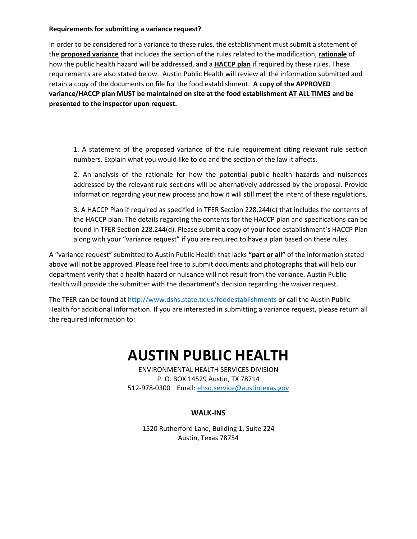#### **Requirements for submitting a variance request?**

In order to be considered for a variance to these rules, the establishment must submit a statement of the **proposed variance** that includes the section of the rules related to the modification, **rationale** of how the public health hazard will be addressed, and a **HACCP plan** if required by these rules. These requirements are also stated below. Austin Public Health will review all the information submitted and retain a copy of the documents on file for the food establishment. **A copy of the APPROVED variance/HACCP plan MUST be maintained on site at the food establishment AT ALL TIMES and be presented to the inspector upon request.**

1. A statement of the proposed variance of the rule requirement citing relevant rule section numbers. Explain what you would like to do and the section of the law it affects.

2. An analysis of the rationale for how the potential public health hazards and nuisances addressed by the relevant rule sections will be alternatively addressed by the proposal. Provide information regarding your new process and how it will still meet the intent of these regulations.

3. A HACCP Plan if required as specified in TFER Section 228.244(c) that includes the contents of the HACCP plan. The details regarding the contents for the HACCP plan and specifications can be found in TFER Section 228.244(d). Please submit a copy of your food establishment's HACCP Plan along with your "variance request" if you are required to have a plan based on these rules.

A "variance request" submitted to Austin Public Health that lacks **"part or all"** of the information stated above will not be approved. Please feel free to submit documents and photographs that will help our department verify that a health hazard or nuisance will not result from the variance. Austin Public Health will provide the submitter with the department's decision regarding the waiver request.

The TFER can be found a[t http://www.dshs.state.tx.us/foodestablishments](http://www.dshs.state.tx.us/foodestablishments) or call the Austin Public Health for additional information. If you are interested in submitting a variance request, please return all the required information to:

## **AUSTIN PUBLIC HEALTH**

ENVIRONMENTAL HEALTH SERVICES DIVISION P. O. BOX 14529 Austin, TX 78714 512-978-0300 Email[: ehsd.service@austintexas.gov](mailto:ehsd.service@austintexas.gov)

#### **WALK-INS**

1520 Rutherford Lane, Building 1, Suite 224 Austin, Texas 78754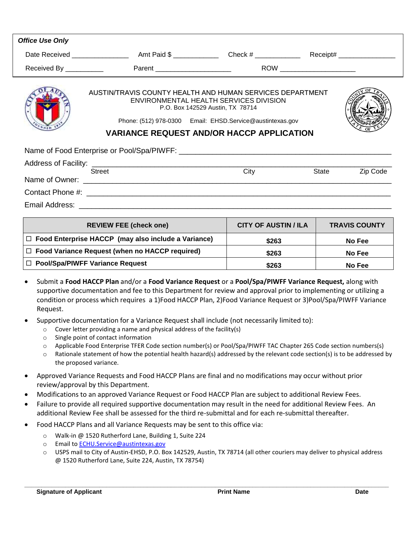| <b>Office Use Only</b>                                                                                                                                                                                                                                   |                                                                                         |                             |                      |  |  |  |
|----------------------------------------------------------------------------------------------------------------------------------------------------------------------------------------------------------------------------------------------------------|-----------------------------------------------------------------------------------------|-----------------------------|----------------------|--|--|--|
|                                                                                                                                                                                                                                                          |                                                                                         |                             |                      |  |  |  |
|                                                                                                                                                                                                                                                          | Received By _____________    Parent ________________________    ROW ___________________ |                             |                      |  |  |  |
| AUSTIN/TRAVIS COUNTY HEALTH AND HUMAN SERVICES DEPARTMENT<br>ENVIRONMENTAL HEALTH SERVICES DIVISION<br>P.O. Box 142529 Austin, TX 78714<br>Phone: (512) 978-0300 Email: EHSD.Service@austintexas.gov<br><b>VARIANCE REQUEST AND/OR HACCP APPLICATION</b> |                                                                                         |                             |                      |  |  |  |
|                                                                                                                                                                                                                                                          |                                                                                         |                             |                      |  |  |  |
|                                                                                                                                                                                                                                                          |                                                                                         |                             |                      |  |  |  |
|                                                                                                                                                                                                                                                          | Street                                                                                  | City                        | Zip Code<br>State    |  |  |  |
|                                                                                                                                                                                                                                                          |                                                                                         |                             |                      |  |  |  |
|                                                                                                                                                                                                                                                          |                                                                                         |                             |                      |  |  |  |
|                                                                                                                                                                                                                                                          | <b>REVIEW FEE (check one)</b>                                                           | <b>CITY OF AUSTIN / ILA</b> | <b>TRAVIS COUNTY</b> |  |  |  |
|                                                                                                                                                                                                                                                          |                                                                                         |                             |                      |  |  |  |

| <b>REVIEW FEE (check one)</b>                              | <b>CITY OF AUSTIN / ILA</b> | <b>TRAVIS COUNTY</b> |
|------------------------------------------------------------|-----------------------------|----------------------|
| $\Box$ Food Enterprise HACCP (may also include a Variance) | \$263                       | No Fee               |
| $\Box$ Food Variance Request (when no HACCP required)      | \$263                       | No Fee               |
| $\Box$ Pool/Spa/PIWFF Variance Request                     | \$263                       | No Fee               |

- Submit a **Food HACCP Plan** and/or a **Food Variance Request** or a **Pool/Spa/PIWFF Variance Request,** along with supportive documentation and fee to this Department for review and approval prior to implementing or utilizing a condition or process which requires a 1)Food HACCP Plan, 2)Food Variance Request or 3)Pool/Spa/PIWFF Variance Request.
- Supportive documentation for a Variance Request shall include (not necessarily limited to):
	- o Cover letter providing a name and physical address of the facility(s)
	- o Single point of contact information
	- o Applicable Food Enterprise TFER Code section number(s) or Pool/Spa/PIWFF TAC Chapter 265 Code section numbers(s)
	- o Rationale statement of how the potential health hazard(s) addressed by the relevant code section(s) is to be addressed by the proposed variance.
- Approved Variance Requests and Food HACCP Plans are final and no modifications may occur without prior review/approval by this Department.
- Modifications to an approved Variance Request or Food HACCP Plan are subject to additional Review Fees.
- Failure to provide all required supportive documentation may result in the need for additional Review Fees. An additional Review Fee shall be assessed for the third re-submittal and for each re-submittal thereafter.
- Food HACCP Plans and all Variance Requests may be sent to this office via:
	- o Walk-in @ 1520 Rutherford Lane, Building 1, Suite 224
	- o Email t[o ECHU.Service@austintexas.gov](mailto:ECHU.Service@austintexas.gov)
	- o USPS mail to City of Austin-EHSD, P.O. Box 142529, Austin, TX 78714 (all other couriers may deliver to physical address @ 1520 Rutherford Lane, Suite 224, Austin, TX 78754)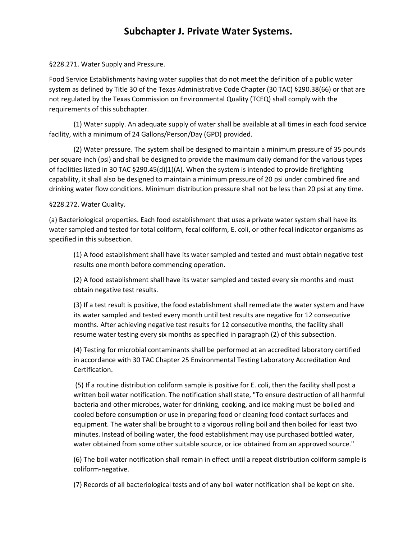## **Subchapter J. Private Water Systems.**

§228.271. Water Supply and Pressure.

Food Service Establishments having water supplies that do not meet the definition of a public water system as defined by Title 30 of the Texas Administrative Code Chapter (30 TAC) §290.38(66) or that are not regulated by the Texas Commission on Environmental Quality (TCEQ) shall comply with the requirements of this subchapter.

(1) Water supply. An adequate supply of water shall be available at all times in each food service facility, with a minimum of 24 Gallons/Person/Day (GPD) provided.

(2) Water pressure. The system shall be designed to maintain a minimum pressure of 35 pounds per square inch (psi) and shall be designed to provide the maximum daily demand for the various types of facilities listed in 30 TAC §290.45(d)(1)(A). When the system is intended to provide firefighting capability, it shall also be designed to maintain a minimum pressure of 20 psi under combined fire and drinking water flow conditions. Minimum distribution pressure shall not be less than 20 psi at any time.

#### §228.272. Water Quality.

(a) Bacteriological properties. Each food establishment that uses a private water system shall have its water sampled and tested for total coliform, fecal coliform, E. coli, or other fecal indicator organisms as specified in this subsection.

(1) A food establishment shall have its water sampled and tested and must obtain negative test results one month before commencing operation.

(2) A food establishment shall have its water sampled and tested every six months and must obtain negative test results.

(3) If a test result is positive, the food establishment shall remediate the water system and have its water sampled and tested every month until test results are negative for 12 consecutive months. After achieving negative test results for 12 consecutive months, the facility shall resume water testing every six months as specified in paragraph (2) of this subsection.

(4) Testing for microbial contaminants shall be performed at an accredited laboratory certified in accordance with 30 TAC Chapter 25 Environmental Testing Laboratory Accreditation And Certification.

(5) If a routine distribution coliform sample is positive for E. coli, then the facility shall post a written boil water notification. The notification shall state, "To ensure destruction of all harmful bacteria and other microbes, water for drinking, cooking, and ice making must be boiled and cooled before consumption or use in preparing food or cleaning food contact surfaces and equipment. The water shall be brought to a vigorous rolling boil and then boiled for least two minutes. Instead of boiling water, the food establishment may use purchased bottled water, water obtained from some other suitable source, or ice obtained from an approved source."

(6) The boil water notification shall remain in effect until a repeat distribution coliform sample is coliform-negative.

(7) Records of all bacteriological tests and of any boil water notification shall be kept on site.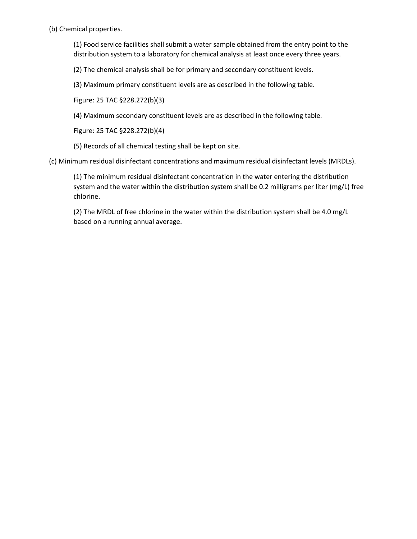(b) Chemical properties.

(1) Food service facilities shall submit a water sample obtained from the entry point to the distribution system to a laboratory for chemical analysis at least once every three years.

(2) The chemical analysis shall be for primary and secondary constituent levels.

(3) Maximum primary constituent levels are as described in the following table.

Figure: 25 TAC §228.272(b)(3)

(4) Maximum secondary constituent levels are as described in the following table.

Figure: 25 TAC §228.272(b)(4)

(5) Records of all chemical testing shall be kept on site.

(c) Minimum residual disinfectant concentrations and maximum residual disinfectant levels (MRDLs).

(1) The minimum residual disinfectant concentration in the water entering the distribution system and the water within the distribution system shall be 0.2 milligrams per liter (mg/L) free chlorine.

(2) The MRDL of free chlorine in the water within the distribution system shall be 4.0 mg/L based on a running annual average.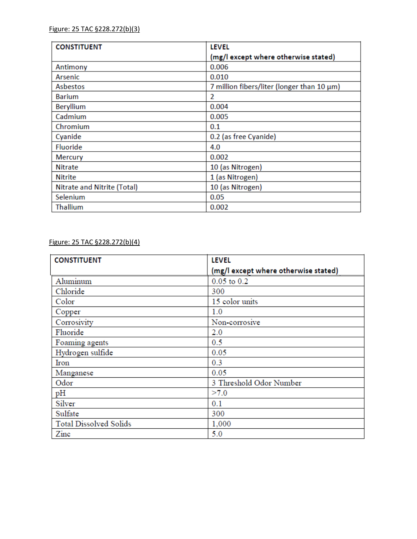| <b>CONSTITUENT</b>          | <b>LEVEL</b>                                     |
|-----------------------------|--------------------------------------------------|
|                             | (mg/l except where otherwise stated)             |
| Antimony                    | 0.006                                            |
| Arsenic                     | 0.010                                            |
| Asbestos                    | 7 million fibers/liter (longer than $10 \mu m$ ) |
| Barium                      | 2                                                |
| Beryllium                   | 0.004                                            |
| Cadmium                     | 0.005                                            |
| Chromium                    | 0.1                                              |
| Cyanide                     | 0.2 (as free Cyanide)                            |
| <b>Fluoride</b>             | 4.0                                              |
| <b>Mercury</b>              | 0.002                                            |
| <b>Nitrate</b>              | 10 (as Nitrogen)                                 |
| <b>Nitrite</b>              | 1 (as Nitrogen)                                  |
| Nitrate and Nitrite (Total) | 10 (as Nitrogen)                                 |
| Selenium                    | 0.05                                             |
| <b>Thallium</b>             | 0.002                                            |

#### Figure: 25 TAC §228.272(b)(4)

| <b>CONSTITUENT</b>            | <b>LEVEL</b>                         |
|-------------------------------|--------------------------------------|
|                               | (mg/l except where otherwise stated) |
| Aluminum                      | $0.05$ to $0.2$                      |
| Chloride                      | 300                                  |
| Color                         | 15 color units                       |
| Copper                        | 1.0                                  |
| Corrosivity                   | Non-corrosive                        |
| Fluoride                      | 2.0                                  |
| Foaming agents                | 0.5                                  |
| Hydrogen sulfide              | 0.05                                 |
| Iron                          | 0.3                                  |
| Manganese                     | 0.05                                 |
| Odor                          | 3 Threshold Odor Number              |
| pH                            | >7.0                                 |
| Silver                        | 0.1                                  |
| Sulfate                       | 300                                  |
| <b>Total Dissolved Solids</b> | 1,000                                |
| Zinc                          | 5.0                                  |